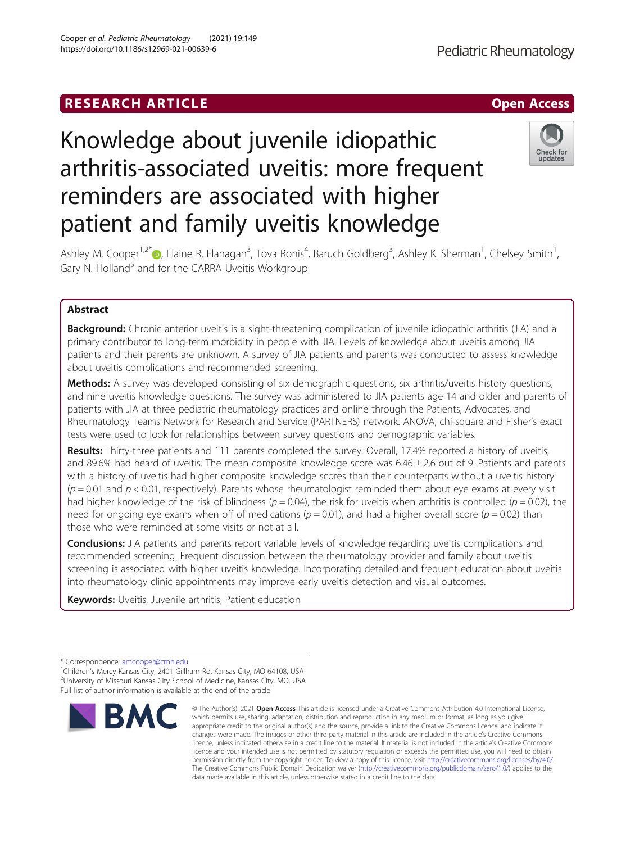# **RESEARCH ARTICLE Example 2018 12:00 Deep Access**

# Knowledge about juvenile idiopathic arthritis-associated uveitis: more frequent reminders are associated with higher patient and family uveitis knowledge

Ashley M. Cooper<sup>1,2\*</sup> (**b**, Elaine R. Flanagan<sup>3</sup>, Tova Ronis<sup>4</sup>, Baruch Goldberg<sup>3</sup>, Ashley K. Sherman<sup>1</sup>, Chelsey Smith<sup>1</sup> , Gary N. Holland<sup>5</sup> and for the CARRA Uveitis Workgroup

# Abstract

**Background:** Chronic anterior uveitis is a sight-threatening complication of juvenile idiopathic arthritis (JIA) and a primary contributor to long-term morbidity in people with JIA. Levels of knowledge about uveitis among JIA patients and their parents are unknown. A survey of JIA patients and parents was conducted to assess knowledge about uveitis complications and recommended screening.

Methods: A survey was developed consisting of six demographic questions, six arthritis/uveitis history questions, and nine uveitis knowledge questions. The survey was administered to JIA patients age 14 and older and parents of patients with JIA at three pediatric rheumatology practices and online through the Patients, Advocates, and Rheumatology Teams Network for Research and Service (PARTNERS) network. ANOVA, chi-square and Fisher's exact tests were used to look for relationships between survey questions and demographic variables.

Results: Thirty-three patients and 111 parents completed the survey. Overall, 17.4% reported a history of uveitis, and 89.6% had heard of uveitis. The mean composite knowledge score was  $6.46 \pm 2.6$  out of 9. Patients and parents with a history of uveitis had higher composite knowledge scores than their counterparts without a uveitis history  $(p = 0.01$  and  $p < 0.01$ , respectively). Parents whose rheumatologist reminded them about eye exams at every visit had higher knowledge of the risk of blindness ( $p = 0.04$ ), the risk for uveitis when arthritis is controlled ( $p = 0.02$ ), the need for ongoing eye exams when off of medications ( $p = 0.01$ ), and had a higher overall score ( $p = 0.02$ ) than those who were reminded at some visits or not at all.

**Conclusions:** JIA patients and parents report variable levels of knowledge regarding uveitis complications and recommended screening. Frequent discussion between the rheumatology provider and family about uveitis screening is associated with higher uveitis knowledge. Incorporating detailed and frequent education about uveitis into rheumatology clinic appointments may improve early uveitis detection and visual outcomes.

Keywords: Uveitis, Juvenile arthritis, Patient education



<sup>©</sup> The Author(s), 2021 **Open Access** This article is licensed under a Creative Commons Attribution 4.0 International License, which permits use, sharing, adaptation, distribution and reproduction in any medium or format, as long as you give appropriate credit to the original author(s) and the source, provide a link to the Creative Commons licence, and indicate if changes were made. The images or other third party material in this article are included in the article's Creative Commons licence, unless indicated otherwise in a credit line to the material. If material is not included in the article's Creative Commons licence and your intended use is not permitted by statutory regulation or exceeds the permitted use, you will need to obtain permission directly from the copyright holder. To view a copy of this licence, visit [http://creativecommons.org/licenses/by/4.0/.](http://creativecommons.org/licenses/by/4.0/) The Creative Commons Public Domain Dedication waiver [\(http://creativecommons.org/publicdomain/zero/1.0/](http://creativecommons.org/publicdomain/zero/1.0/)) applies to the data made available in this article, unless otherwise stated in a credit line to the data.



<sup>\*</sup> Correspondence: [amcooper@cmh.edu](mailto:amcooper@cmh.edu) <sup>1</sup>

<sup>&</sup>lt;sup>1</sup>Children's Mercy Kansas City, 2401 Gillham Rd, Kansas City, MO 64108, USA <sup>2</sup>University of Missouri Kansas City School of Medicine, Kansas City, MO, USA Full list of author information is available at the end of the article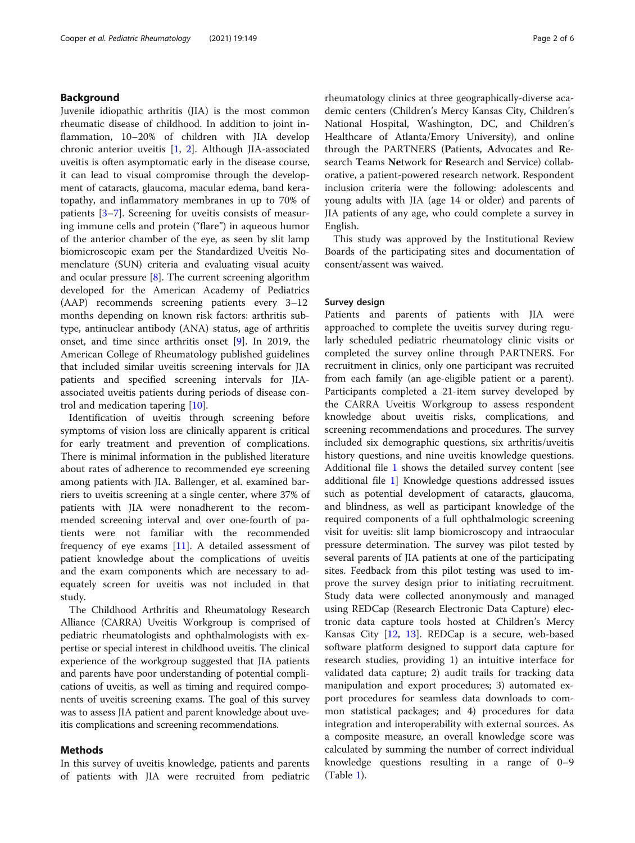# Background

Juvenile idiopathic arthritis (JIA) is the most common rheumatic disease of childhood. In addition to joint inflammation, 10–20% of children with JIA develop chronic anterior uveitis [\[1,](#page-5-0) [2\]](#page-5-0). Although JIA-associated uveitis is often asymptomatic early in the disease course, it can lead to visual compromise through the development of cataracts, glaucoma, macular edema, band keratopathy, and inflammatory membranes in up to 70% of patients [[3](#page-5-0)–[7](#page-5-0)]. Screening for uveitis consists of measuring immune cells and protein ("flare") in aqueous humor of the anterior chamber of the eye, as seen by slit lamp biomicroscopic exam per the Standardized Uveitis Nomenclature (SUN) criteria and evaluating visual acuity and ocular pressure [[8](#page-5-0)]. The current screening algorithm developed for the American Academy of Pediatrics (AAP) recommends screening patients every 3–12 months depending on known risk factors: arthritis subtype, antinuclear antibody (ANA) status, age of arthritis onset, and time since arthritis onset [[9\]](#page-5-0). In 2019, the American College of Rheumatology published guidelines that included similar uveitis screening intervals for JIA patients and specified screening intervals for JIAassociated uveitis patients during periods of disease control and medication tapering [\[10\]](#page-5-0).

Identification of uveitis through screening before symptoms of vision loss are clinically apparent is critical for early treatment and prevention of complications. There is minimal information in the published literature about rates of adherence to recommended eye screening among patients with JIA. Ballenger, et al. examined barriers to uveitis screening at a single center, where 37% of patients with JIA were nonadherent to the recommended screening interval and over one-fourth of patients were not familiar with the recommended frequency of eye exams [\[11\]](#page-5-0). A detailed assessment of patient knowledge about the complications of uveitis and the exam components which are necessary to adequately screen for uveitis was not included in that study.

The Childhood Arthritis and Rheumatology Research Alliance (CARRA) Uveitis Workgroup is comprised of pediatric rheumatologists and ophthalmologists with expertise or special interest in childhood uveitis. The clinical experience of the workgroup suggested that JIA patients and parents have poor understanding of potential complications of uveitis, as well as timing and required components of uveitis screening exams. The goal of this survey was to assess JIA patient and parent knowledge about uveitis complications and screening recommendations.

# Methods

In this survey of uveitis knowledge, patients and parents of patients with JIA were recruited from pediatric

rheumatology clinics at three geographically-diverse academic centers (Children's Mercy Kansas City, Children's National Hospital, Washington, DC, and Children's Healthcare of Atlanta/Emory University), and online through the PARTNERS (Patients, Advocates and Research Teams Network for Research and Service) collaborative, a patient-powered research network. Respondent inclusion criteria were the following: adolescents and young adults with JIA (age 14 or older) and parents of JIA patients of any age, who could complete a survey in English.

This study was approved by the Institutional Review Boards of the participating sites and documentation of consent/assent was waived.

## Survey design

Patients and parents of patients with JIA were approached to complete the uveitis survey during regularly scheduled pediatric rheumatology clinic visits or completed the survey online through PARTNERS. For recruitment in clinics, only one participant was recruited from each family (an age-eligible patient or a parent). Participants completed a 21-item survey developed by the CARRA Uveitis Workgroup to assess respondent knowledge about uveitis risks, complications, and screening recommendations and procedures. The survey included six demographic questions, six arthritis/uveitis history questions, and nine uveitis knowledge questions. Additional file [1](#page-4-0) shows the detailed survey content [see additional file [1\]](#page-4-0) Knowledge questions addressed issues such as potential development of cataracts, glaucoma, and blindness, as well as participant knowledge of the required components of a full ophthalmologic screening visit for uveitis: slit lamp biomicroscopy and intraocular pressure determination. The survey was pilot tested by several parents of JIA patients at one of the participating sites. Feedback from this pilot testing was used to improve the survey design prior to initiating recruitment. Study data were collected anonymously and managed using REDCap (Research Electronic Data Capture) electronic data capture tools hosted at Children's Mercy Kansas City [\[12](#page-5-0), [13](#page-5-0)]. REDCap is a secure, web-based software platform designed to support data capture for research studies, providing 1) an intuitive interface for validated data capture; 2) audit trails for tracking data manipulation and export procedures; 3) automated export procedures for seamless data downloads to common statistical packages; and 4) procedures for data integration and interoperability with external sources. As a composite measure, an overall knowledge score was calculated by summing the number of correct individual knowledge questions resulting in a range of 0–9 (Table [1\)](#page-2-0).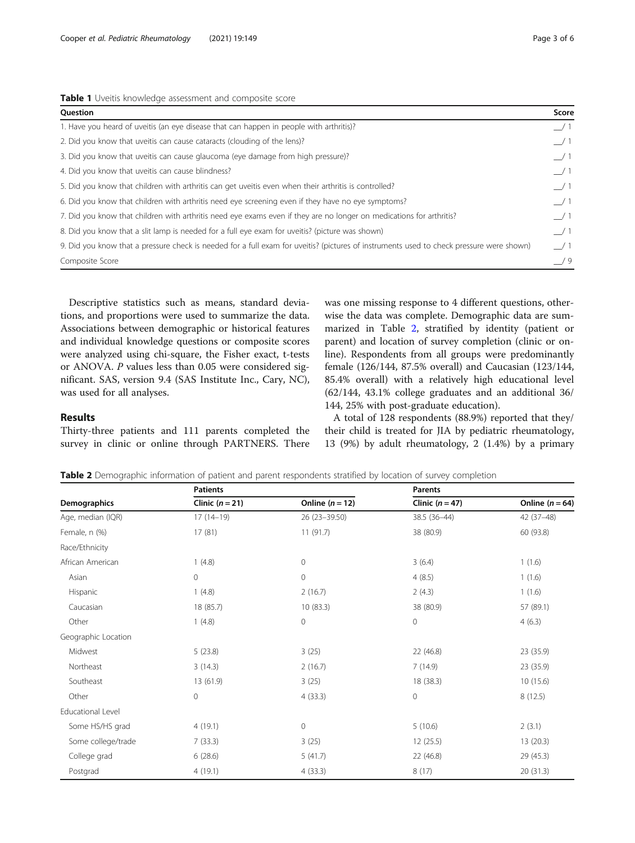<span id="page-2-0"></span>Cooper et al. Pediatric Rheumatology (2021) 19:149 Page 3 of 6

|  |  |  | Table 1 Uveitis knowledge assessment and composite score |
|--|--|--|----------------------------------------------------------|
|  |  |  |                                                          |

| Question                                                                                                                                 | Score         |
|------------------------------------------------------------------------------------------------------------------------------------------|---------------|
| 1. Have you heard of uveitis (an eye disease that can happen in people with arthritis)?                                                  | $\frac{1}{1}$ |
| 2. Did you know that uveitis can cause cataracts (clouding of the lens)?                                                                 | /1            |
| 3. Did you know that uveitis can cause glaucoma (eye damage from high pressure)?                                                         | $\frac{1}{2}$ |
| 4. Did you know that uveitis can cause blindness?                                                                                        | $\frac{1}{2}$ |
| 5. Did you know that children with arthritis can get uveitis even when their arthritis is controlled?                                    | $\frac{1}{2}$ |
| 6. Did you know that children with arthritis need eye screening even if they have no eye symptoms?                                       | $\frac{1}{2}$ |
| 7. Did you know that children with arthritis need eye exams even if they are no longer on medications for arthritis?                     | /1            |
| 8. Did you know that a slit lamp is needed for a full eye exam for uveitis? (picture was shown)                                          | $\frac{1}{1}$ |
| 9. Did you know that a pressure check is needed for a full exam for uveitis? (pictures of instruments used to check pressure were shown) | $\frac{1}{1}$ |
| Composite Score                                                                                                                          | /9            |

Descriptive statistics such as means, standard deviations, and proportions were used to summarize the data. Associations between demographic or historical features and individual knowledge questions or composite scores were analyzed using chi-square, the Fisher exact, t-tests or ANOVA. P values less than 0.05 were considered significant. SAS, version 9.4 (SAS Institute Inc., Cary, NC), was used for all analyses.

was one missing response to 4 different questions, otherwise the data was complete. Demographic data are summarized in Table 2, stratified by identity (patient or parent) and location of survey completion (clinic or online). Respondents from all groups were predominantly female (126/144, 87.5% overall) and Caucasian (123/144, 85.4% overall) with a relatively high educational level (62/144, 43.1% college graduates and an additional 36/ 144, 25% with post-graduate education).

# Results

Thirty-three patients and 111 parents completed the survey in clinic or online through PARTNERS. There

A total of 128 respondents (88.9%) reported that they/ their child is treated for JIA by pediatric rheumatology, 13 (9%) by adult rheumatology, 2 (1.4%) by a primary

| <b>Table 2</b> Demographic information of patient and parent respondents stratified by location of survey completion |  |  |
|----------------------------------------------------------------------------------------------------------------------|--|--|
|                                                                                                                      |  |  |

|                     | <b>Patients</b>   |                   | <b>Parents</b>  |                     |  |
|---------------------|-------------------|-------------------|-----------------|---------------------|--|
| Demographics        | Clinic $(n = 21)$ | Online $(n = 12)$ | Clinic $(n=47)$ | Online ( $n = 64$ ) |  |
| Age, median (IQR)   | $17(14-19)$       | 26 (23-39.50)     | 38.5 (36-44)    | $42(37-48)$         |  |
| Female, n (%)       | 17(81)            | 11(91.7)          | 38 (80.9)       | 60 (93.8)           |  |
| Race/Ethnicity      |                   |                   |                 |                     |  |
| African American    | 1(4.8)            | $\circ$           | 3(6.4)          | 1(1.6)              |  |
| Asian               | $\circ$           | $\circ$           | 4(8.5)          | 1(1.6)              |  |
| Hispanic            | 1(4.8)            | 2(16.7)           | 2(4.3)          | 1(1.6)              |  |
| Caucasian           | 18 (85.7)         | 10(83.3)          | 38 (80.9)       | 57 (89.1)           |  |
| Other               | 1(4.8)            | $\overline{0}$    | $\overline{0}$  | 4(6.3)              |  |
| Geographic Location |                   |                   |                 |                     |  |
| Midwest             | 5(23.8)           | 3(25)             | 22 (46.8)       | 23 (35.9)           |  |
| Northeast           | 3(14.3)           | 2(16.7)           | 7(14.9)         | 23 (35.9)           |  |
| Southeast           | 13 (61.9)         | 3(25)             | 18 (38.3)       | 10(15.6)            |  |
| Other               | $\mathbf{0}$      | 4(33.3)           | $\mathbf 0$     | 8(12.5)             |  |
| Educational Level   |                   |                   |                 |                     |  |
| Some HS/HS grad     | 4(19.1)           | $\mathbf{0}$      | 5(10.6)         | 2(3.1)              |  |
| Some college/trade  | 7(33.3)           | 3(25)             | 12 (25.5)       | 13 (20.3)           |  |
| College grad        | 6(28.6)           | 5(41.7)           | 22 (46.8)       | 29 (45.3)           |  |
| Postgrad            | 4(19.1)           | 4(33.3)           | 8(17)           | 20(31.3)            |  |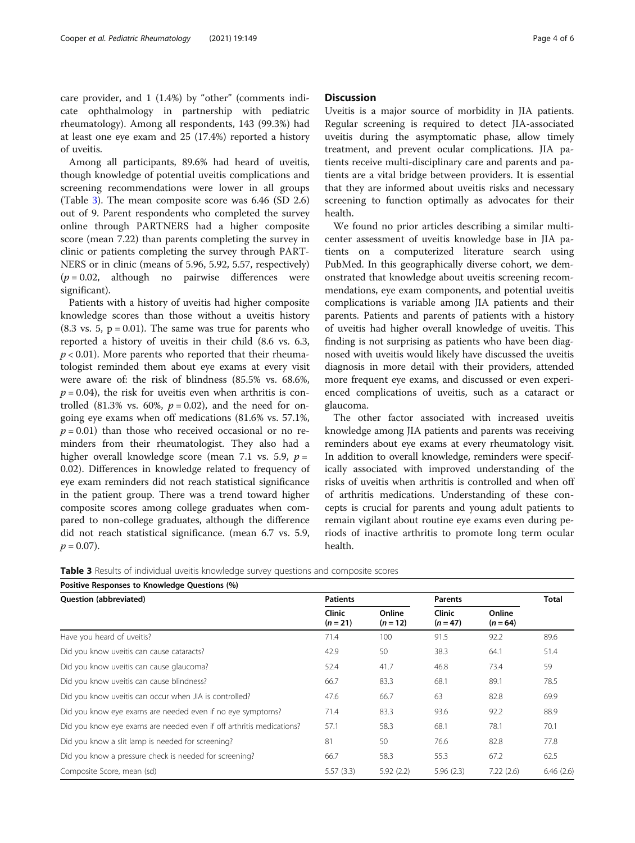care provider, and 1 (1.4%) by "other" (comments indicate ophthalmology in partnership with pediatric rheumatology). Among all respondents, 143 (99.3%) had at least one eye exam and 25 (17.4%) reported a history of uveitis.

Among all participants, 89.6% had heard of uveitis, though knowledge of potential uveitis complications and screening recommendations were lower in all groups (Table 3). The mean composite score was 6.46 (SD 2.6) out of 9. Parent respondents who completed the survey online through PARTNERS had a higher composite score (mean 7.22) than parents completing the survey in clinic or patients completing the survey through PART-NERS or in clinic (means of 5.96, 5.92, 5.57, respectively)  $(p = 0.02,$  although no pairwise differences were significant).

Patients with a history of uveitis had higher composite knowledge scores than those without a uveitis history  $(8.3 \text{ vs. } 5, \text{ p} = 0.01)$ . The same was true for parents who reported a history of uveitis in their child (8.6 vs. 6.3,  $p < 0.01$ ). More parents who reported that their rheumatologist reminded them about eye exams at every visit were aware of: the risk of blindness (85.5% vs. 68.6%,  $p = 0.04$ ), the risk for uveitis even when arthritis is controlled (81.3% vs. 60%,  $p = 0.02$ ), and the need for ongoing eye exams when off medications (81.6% vs. 57.1%,  $p = 0.01$ ) than those who received occasional or no reminders from their rheumatologist. They also had a higher overall knowledge score (mean 7.1 vs. 5.9,  $p =$ 0.02). Differences in knowledge related to frequency of eye exam reminders did not reach statistical significance in the patient group. There was a trend toward higher composite scores among college graduates when compared to non-college graduates, although the difference did not reach statistical significance. (mean 6.7 vs. 5.9,  $p = 0.07$ ).

# **Discussion**

Uveitis is a major source of morbidity in JIA patients. Regular screening is required to detect JIA-associated uveitis during the asymptomatic phase, allow timely treatment, and prevent ocular complications. JIA patients receive multi-disciplinary care and parents and patients are a vital bridge between providers. It is essential that they are informed about uveitis risks and necessary screening to function optimally as advocates for their health.

We found no prior articles describing a similar multicenter assessment of uveitis knowledge base in JIA patients on a computerized literature search using PubMed. In this geographically diverse cohort, we demonstrated that knowledge about uveitis screening recommendations, eye exam components, and potential uveitis complications is variable among JIA patients and their parents. Patients and parents of patients with a history of uveitis had higher overall knowledge of uveitis. This finding is not surprising as patients who have been diagnosed with uveitis would likely have discussed the uveitis diagnosis in more detail with their providers, attended more frequent eye exams, and discussed or even experienced complications of uveitis, such as a cataract or glaucoma.

The other factor associated with increased uveitis knowledge among JIA patients and parents was receiving reminders about eye exams at every rheumatology visit. In addition to overall knowledge, reminders were specifically associated with improved understanding of the risks of uveitis when arthritis is controlled and when off of arthritis medications. Understanding of these concepts is crucial for parents and young adult patients to remain vigilant about routine eye exams even during periods of inactive arthritis to promote long term ocular health.

| Table 3 Results of individual uveitis knowledge survey questions and composite scores |  |
|---------------------------------------------------------------------------------------|--|
|---------------------------------------------------------------------------------------|--|

| Question (abbreviated)                                               | <b>Patients</b>      |                      | <b>Parents</b>       |                      | <b>Total</b> |
|----------------------------------------------------------------------|----------------------|----------------------|----------------------|----------------------|--------------|
|                                                                      | Clinic<br>$(n = 21)$ | Online<br>$(n = 12)$ | Clinic<br>$(n = 47)$ | Online<br>$(n = 64)$ |              |
| Have you heard of uveitis?                                           | 71.4                 | 100                  | 91.5                 | 92.2                 | 89.6         |
| Did you know uveitis can cause cataracts?                            | 42.9                 | 50                   | 38.3                 | 64.1                 | 51.4         |
| Did you know uveitis can cause glaucoma?                             | 52.4                 | 41.7                 | 46.8                 | 73.4                 | 59           |
| Did you know uveitis can cause blindness?                            | 66.7                 | 83.3                 | 68.1                 | 89.1                 | 78.5         |
| Did you know uveitis can occur when JIA is controlled?               | 47.6                 | 66.7                 | 63                   | 82.8                 | 69.9         |
| Did you know eye exams are needed even if no eye symptoms?           | 71.4                 | 83.3                 | 93.6                 | 92.2                 | 88.9         |
| Did you know eye exams are needed even if off arthritis medications? | 57.1                 | 58.3                 | 68.1                 | 78.1                 | 70.1         |
| Did you know a slit lamp is needed for screening?                    | 81                   | 50                   | 76.6                 | 82.8                 | 77.8         |
| Did you know a pressure check is needed for screening?               | 66.7                 | 58.3                 | 55.3                 | 67.2                 | 62.5         |
| Composite Score, mean (sd)                                           | 5.57(3.3)            | 5.92(2.2)            | 5.96(2.3)            | 7.22(2.6)            | 6.46(2.6)    |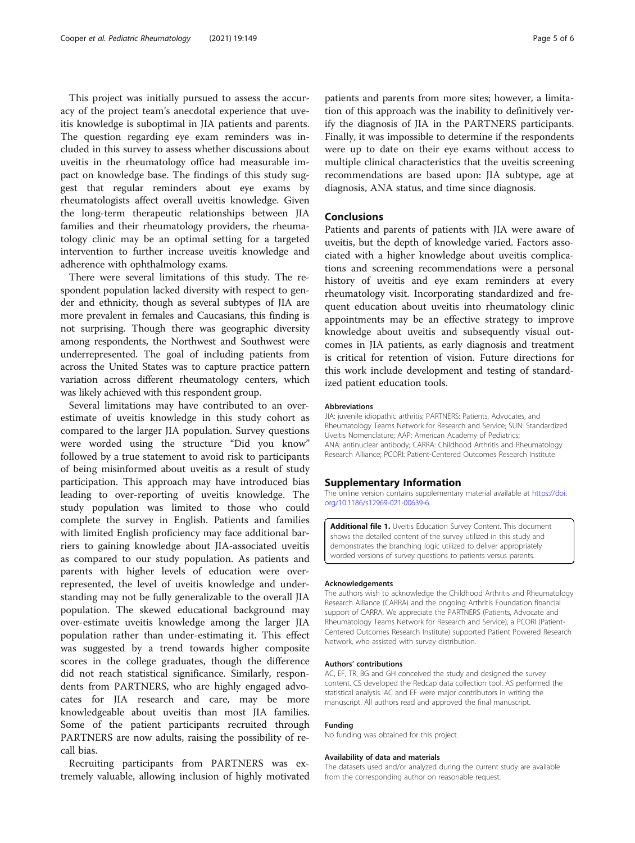<span id="page-4-0"></span>This project was initially pursued to assess the accuracy of the project team's anecdotal experience that uveitis knowledge is suboptimal in JIA patients and parents. The question regarding eye exam reminders was included in this survey to assess whether discussions about uveitis in the rheumatology office had measurable impact on knowledge base. The findings of this study suggest that regular reminders about eye exams by rheumatologists affect overall uveitis knowledge. Given the long-term therapeutic relationships between JIA families and their rheumatology providers, the rheumatology clinic may be an optimal setting for a targeted intervention to further increase uveitis knowledge and adherence with ophthalmology exams.

There were several limitations of this study. The respondent population lacked diversity with respect to gender and ethnicity, though as several subtypes of JIA are more prevalent in females and Caucasians, this finding is not surprising. Though there was geographic diversity among respondents, the Northwest and Southwest were underrepresented. The goal of including patients from across the United States was to capture practice pattern variation across different rheumatology centers, which was likely achieved with this respondent group.

Several limitations may have contributed to an overestimate of uveitis knowledge in this study cohort as compared to the larger JIA population. Survey questions were worded using the structure "Did you know" followed by a true statement to avoid risk to participants of being misinformed about uveitis as a result of study participation. This approach may have introduced bias leading to over-reporting of uveitis knowledge. The study population was limited to those who could complete the survey in English. Patients and families with limited English proficiency may face additional barriers to gaining knowledge about JIA-associated uveitis as compared to our study population. As patients and parents with higher levels of education were overrepresented, the level of uveitis knowledge and understanding may not be fully generalizable to the overall JIA population. The skewed educational background may over-estimate uveitis knowledge among the larger JIA population rather than under-estimating it. This effect was suggested by a trend towards higher composite scores in the college graduates, though the difference did not reach statistical significance. Similarly, respondents from PARTNERS, who are highly engaged advocates for JIA research and care, may be more knowledgeable about uveitis than most JIA families. Some of the patient participants recruited through PARTNERS are now adults, raising the possibility of recall bias.

Recruiting participants from PARTNERS was extremely valuable, allowing inclusion of highly motivated

patients and parents from more sites; however, a limitation of this approach was the inability to definitively verify the diagnosis of JIA in the PARTNERS participants. Finally, it was impossible to determine if the respondents were up to date on their eye exams without access to multiple clinical characteristics that the uveitis screening recommendations are based upon: JIA subtype, age at diagnosis, ANA status, and time since diagnosis.

# Conclusions

Patients and parents of patients with JIA were aware of uveitis, but the depth of knowledge varied. Factors associated with a higher knowledge about uveitis complications and screening recommendations were a personal history of uveitis and eye exam reminders at every rheumatology visit. Incorporating standardized and frequent education about uveitis into rheumatology clinic appointments may be an effective strategy to improve knowledge about uveitis and subsequently visual outcomes in JIA patients, as early diagnosis and treatment is critical for retention of vision. Future directions for this work include development and testing of standardized patient education tools.

#### Abbreviations

JIA: juvenile idiopathic arthritis; PARTNERS: Patients, Advocates, and Rheumatology Teams Network for Research and Service; SUN: Standardized Uveitis Nomenclature; AAP: American Academy of Pediatrics; ANA: antinuclear antibody; CARRA: Childhood Arthritis and Rheumatology Research Alliance; PCORI: Patient-Centered Outcomes Research Institute

#### Supplementary Information

The online version contains supplementary material available at [https://doi.](https://doi.org/10.1186/s12969-021-00639-6) [org/10.1186/s12969-021-00639-6.](https://doi.org/10.1186/s12969-021-00639-6)

Additional file 1. Uveitis Education Survey Content. This document shows the detailed content of the survey utilized in this study and demonstrates the branching logic utilized to deliver appropriately worded versions of survey questions to patients versus parents.

#### Acknowledgements

The authors wish to acknowledge the Childhood Arthritis and Rheumatology Research Alliance (CARRA) and the ongoing Arthritis Foundation financial support of CARRA. We appreciate the PARTNERS (Patients, Advocate and Rheumatology Teams Network for Research and Service), a PCORI (Patient-Centered Outcomes Research Institute) supported Patient Powered Research Network, who assisted with survey distribution.

#### Authors' contributions

AC, EF, TR, BG and GH conceived the study and designed the survey content. CS developed the Redcap data collection tool. AS performed the statistical analysis. AC and EF were major contributors in writing the manuscript. All authors read and approved the final manuscript.

#### Funding

No funding was obtained for this project.

#### Availability of data and materials

The datasets used and/or analyzed during the current study are available from the corresponding author on reasonable request.